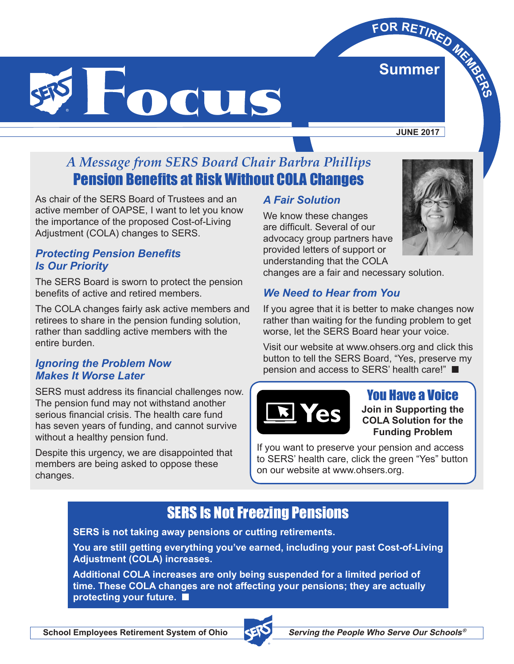

**JUNE 2017**

**Summer**

**E**<br>Summer<br>Bummer

## *A Message from SERS Board Chair Barbra Phillips* Pension Benefits at Risk Without COLA Changes

As chair of the SERS Board of Trustees and an active member of OAPSE, I want to let you know the importance of the proposed Cost-of-Living Adjustment (COLA) changes to SERS.

#### *Protecting Pension Benefits Is Our Priority*

The SERS Board is sworn to protect the pension benefits of active and retired members.

The COLA changes fairly ask active members and retirees to share in the pension funding solution, rather than saddling active members with the entire burden.

#### *Ignoring the Problem Now Makes It Worse Later*

SERS must address its financial challenges now. The pension fund may not withstand another serious financial crisis. The health care fund has seven years of funding, and cannot survive without a healthy pension fund.

Despite this urgency, we are disappointed that members are being asked to oppose these changes.

## *A Fair Solution*

We know these changes are difficult. Several of our advocacy group partners have provided letters of support or understanding that the COLA



### *We Need to Hear from You*

If you agree that it is better to make changes now rather than waiting for the funding problem to get worse, let the SERS Board hear your voice.

Visit our website at www.ohsers.org and click this button to tell the SERS Board, "Yes, preserve my pension and access to SERS' health care!" ■



## You Have a Voice

**Join in Supporting the COLA Solution for the Funding Problem**

If you want to preserve your pension and access to SERS' health care, click the green "Yes" button on our website at www.ohsers.org.

# SERS Is Not Freezing Pensions

**SERS is not taking away pensions or cutting retirements.** 

**You are still getting everything you've earned, including your past Cost-of-Living Adjustment (COLA) increases.**

**Additional COLA increases are only being suspended for a limited period of time. These COLA changes are not affecting your pensions; they are actually protecting your future.** ■

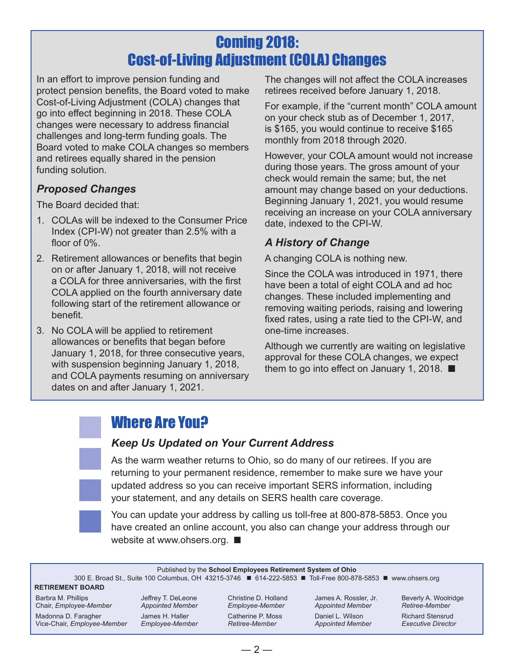# Coming 2018: Cost-of-Living Adjustment (COLA) Changes

In an effort to improve pension funding and protect pension benefits, the Board voted to make Cost-of-Living Adjustment (COLA) changes that go into effect beginning in 2018. These COLA changes were necessary to address financial challenges and long-term funding goals. The Board voted to make COLA changes so members and retirees equally shared in the pension funding solution.

## *Proposed Changes*

The Board decided that:

- 1. COLAs will be indexed to the Consumer Price Index (CPI-W) not greater than 2.5% with a floor of 0%.
- 2. Retirement allowances or benefits that begin on or after January 1, 2018, will not receive a COLA for three anniversaries, with the first COLA applied on the fourth anniversary date following start of the retirement allowance or benefit.
- 3. No COLA will be applied to retirement allowances or benefits that began before January 1, 2018, for three consecutive years, with suspension beginning January 1, 2018, and COLA payments resuming on anniversary dates on and after January 1, 2021.

The changes will not affect the COLA increases retirees received before January 1, 2018.

For example, if the "current month" COLA amount on your check stub as of December 1, 2017, is \$165, you would continue to receive \$165 monthly from 2018 through 2020.

However, your COLA amount would not increase during those years. The gross amount of your check would remain the same; but, the net amount may change based on your deductions. Beginning January 1, 2021, you would resume receiving an increase on your COLA anniversary date, indexed to the CPI-W.

## *A History of Change*

A changing COLA is nothing new.

Since the COLA was introduced in 1971, there have been a total of eight COLA and ad hoc changes. These included implementing and removing waiting periods, raising and lowering fixed rates, using a rate tied to the CPI-W, and one-time increases.

Although we currently are waiting on legislative approval for these COLA changes, we expect them to go into effect on January 1, 2018. ■

# Where Are You?

### *Keep Us Updated on Your Current Address*



As the warm weather returns to Ohio, so do many of our retirees. If you are returning to your permanent residence, remember to make sure we have your updated address so you can receive important SERS information, including your statement, and any details on SERS health care coverage.



You can update your address by calling us toll-free at 800-878-5853. Once you have created an online account, you also can change your address through our website at www.ohsers.org. ■

Published by the **School Employees Retirement System of Ohio**

300 E. Broad St., Suite 100 Columbus, OH 43215-3746 ■ 614-222-5853 ■ Toll-Free 800-878-5853 ■ www.ohsers.org

#### **RETIREMENT BOARD**

Barbra M. Phillips Chair, *Employee-Member*

Madonna D. Faragher Vice-Chair, *Employee-Member*

Jeffrey T. DeLeone *Appointed Member* James H. Haller *Employee-Member*

Christine D. Holland *Employee-Member* Catherine P. Moss *Retiree-Member*

James A. Rossler, Jr. *Appointed Member* Daniel L. Wilson

*Appointed Member*

Beverly A. Woolridge *Retiree-Member*

Richard Stensrud *Executive Director*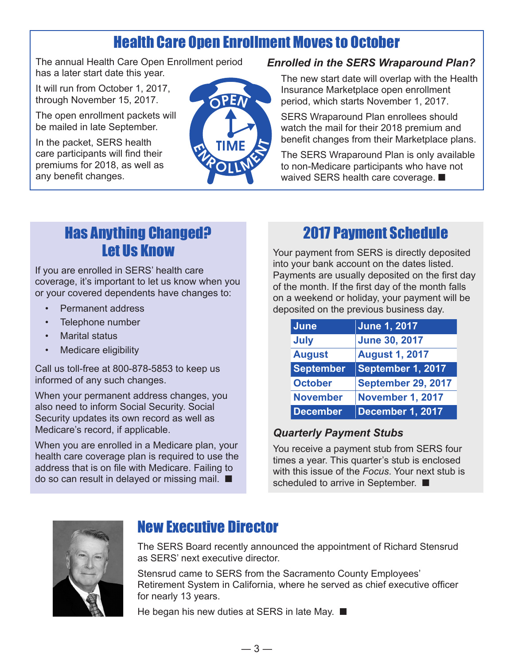# Health Care Open Enrollment Moves to October

The annual Health Care Open Enrollment period has a later start date this year.

It will run from October 1, 2017, through November 15, 2017.

The open enrollment packets will be mailed in late September.

In the packet, SERS health care participants will find their premiums for 2018, as well as any benefit changes.



#### *Enrolled in the SERS Wraparound Plan?*

The new start date will overlap with the Health Insurance Marketplace open enrollment period, which starts November 1, 2017.

SERS Wraparound Plan enrollees should watch the mail for their 2018 premium and benefit changes from their Marketplace plans.

The SERS Wraparound Plan is only available to non-Medicare participants who have not waived SERS health care coverage. ■

## Has Anything Changed? Let Us Know

If you are enrolled in SERS' health care coverage, it's important to let us know when you or your covered dependents have changes to:

- Permanent address
- Telephone number
- **Marital status**
- Medicare eligibility

Call us toll-free at 800-878-5853 to keep us informed of any such changes.

When your permanent address changes, you also need to inform Social Security. Social Security updates its own record as well as Medicare's record, if applicable.

When you are enrolled in a Medicare plan, your health care coverage plan is required to use the address that is on file with Medicare. Failing to do so can result in delayed or missing mail. ■

## 2017 Payment Schedule

Your payment from SERS is directly deposited into your bank account on the dates listed. Payments are usually deposited on the first day of the month. If the first day of the month falls on a weekend or holiday, your payment will be deposited on the previous business day.

| <b>June</b>      | <b>June 1, 2017</b>       |
|------------------|---------------------------|
| <b>July</b>      | <b>June 30, 2017</b>      |
| <b>August</b>    | <b>August 1, 2017</b>     |
| <b>September</b> | September 1, 2017         |
| <b>October</b>   | <b>September 29, 2017</b> |
| <b>November</b>  | <b>November 1, 2017</b>   |
| <b>December</b>  | December 1, 2017          |

### *Quarterly Payment Stubs*

You receive a payment stub from SERS four times a year. This quarter's stub is enclosed with this issue of the *Focus*. Your next stub is scheduled to arrive in September. ■



## New Executive Director

The SERS Board recently announced the appointment of Richard Stensrud as SERS' next executive director.

Stensrud came to SERS from the Sacramento County Employees' Retirement System in California, where he served as chief executive officer for nearly 13 years.

He began his new duties at SERS in late May. ■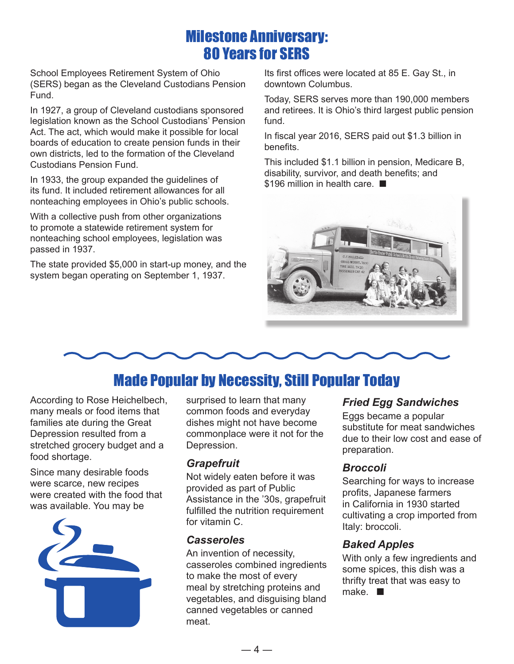## Milestone Anniversary: 80 Years for SERS

School Employees Retirement System of Ohio (SERS) began as the Cleveland Custodians Pension Fund.

In 1927, a group of Cleveland custodians sponsored legislation known as the School Custodians' Pension Act. The act, which would make it possible for local boards of education to create pension funds in their own districts, led to the formation of the Cleveland Custodians Pension Fund.

In 1933, the group expanded the guidelines of its fund. It included retirement allowances for all nonteaching employees in Ohio's public schools.

With a collective push from other organizations to promote a statewide retirement system for nonteaching school employees, legislation was passed in 1937.

The state provided \$5,000 in start-up money, and the system began operating on September 1, 1937.

Its first offices were located at 85 E. Gay St., in downtown Columbus.

Today, SERS serves more than 190,000 members and retirees. It is Ohio's third largest public pension fund.

In fiscal year 2016, SERS paid out \$1.3 billion in benefits.

This included \$1.1 billion in pension, Medicare B, disability, survivor, and death benefits; and \$196 million in health care. ■





# Made Popular by Necessity, Still Popular Today

According to Rose Heichelbech, many meals or food items that families ate during the Great Depression resulted from a stretched grocery budget and a food shortage.

Since many desirable foods were scarce, new recipes were created with the food that was available. You may be



surprised to learn that many common foods and everyday dishes might not have become commonplace were it not for the Depression.

#### *Grapefruit*

Not widely eaten before it was provided as part of Public Assistance in the '30s, grapefruit fulfilled the nutrition requirement for vitamin C.

#### *Casseroles*

An invention of necessity, casseroles combined ingredients to make the most of every meal by stretching proteins and vegetables, and disguising bland canned vegetables or canned meat.

#### *Fried Egg Sandwiches*

Eggs became a popular substitute for meat sandwiches due to their low cost and ease of preparation.

#### *Broccoli*

Searching for ways to increase profits, Japanese farmers in California in 1930 started cultivating a crop imported from Italy: broccoli.

#### *Baked Apples*

With only a few ingredients and some spices, this dish was a thrifty treat that was easy to make. ■

 $-4-$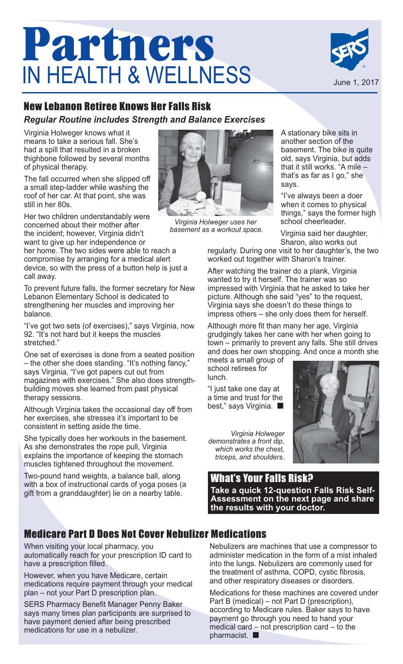# **Partners**  IN HEALTH & WELLNESS



## New Lebanon Retiree Knows Her Falls Risk

### *Regular Routine includes Strength and Balance Exercises*

Virginia Holweger knows what it means to take a serious fall. She's had a spill that resulted in a broken thighbone followed by several months of physical therapy.

The fall occurred when she slipped off a small step-ladder while washing the roof of her car. At that point, she was still in her 80s.

Her two children understandably were concerned about their mother after the incident; however, Virginia didn't want to give up her independence or

her home. The two sides were able to reach a compromise by arranging for a medical alert device, so with the press of a button help is just a call away.

To prevent future falls, the former secretary for New Lebanon Elementary School is dedicated to strengthening her muscles and improving her balance.

"I've got two sets (of exercises)," says Virginia, now 92. "It's not hard but it keeps the muscles stretched."

One set of exercises is done from a seated position – the other she does standing. "It's nothing fancy," says Virginia, "I've got papers cut out from magazines with exercises." She also does strengthbuilding moves she learned from past physical therapy sessions.

Although Virginia takes the occasional day off from her exercises, she stresses it's important to be consistent in setting aside the time.

She typically does her workouts in the basement. As she demonstrates the rope pull, Virginia explains the importance of keeping the stomach muscles tightened throughout the movement.

Two-pound hand weights, a balance ball, along with a box of instructional cards of yoga poses (a gift from a granddaughter) lie on a nearby table.



*Virginia Holweger uses her basement as a workout space.*

A stationary bike sits in another section of the basement. The bike is quite old, says Virginia, but adds that it still works. "A mile – that's as far as I go," she says.

"I've always been a doer when it comes to physical things," says the former high school cheerleader.

Virginia said her daughter, Sharon, also works out

regularly. During one visit to her daughter's, the two worked out together with Sharon's trainer.

After watching the trainer do a plank, Virginia wanted to try it herself. The trainer was so impressed with Virginia that he asked to take her picture. Although she said "yes" to the request, Virginia says she doesn't do these things to impress others – she only does them for herself.

Although more fit than many her age, Virginia grudgingly takes her cane with her when going to town – primarily to prevent any falls. She still drives and does her own shopping. And once a month she

meets a small group of school retirees for lunch.

"I just take one day at a time and trust for the best," says Virginia. ■

*Virginia Holweger demonstrates a front dip, which works the chest, triceps, and shoulders.*



What's Your Falls Risk? **Take a quick 12-question Falls Risk Self-Assessment on the next page and share the results with your doctor.** 

## Medicare Part D Does Not Cover Nebulizer Medications

When visiting your local pharmacy, you automatically reach for your prescription ID card to have a prescription filled.

However, when you have Medicare, certain medications require payment through your medical plan – not your Part D prescription plan.

SERS Pharmacy Benefit Manager Penny Baker says many times plan participants are surprised to have payment denied after being prescribed medications for use in a nebulizer.

Nebulizers are machines that use a compressor to administer medication in the form of a mist inhaled into the lungs. Nebulizers are commonly used for the treatment of asthma, COPD, cystic fibrosis, and other respiratory diseases or disorders.

Medications for these machines are covered under Part B (medical) – not Part D (prescription), according to Medicare rules. Baker says to have payment go through you need to hand your medical card – not prescription card – to the pharmacist. ■